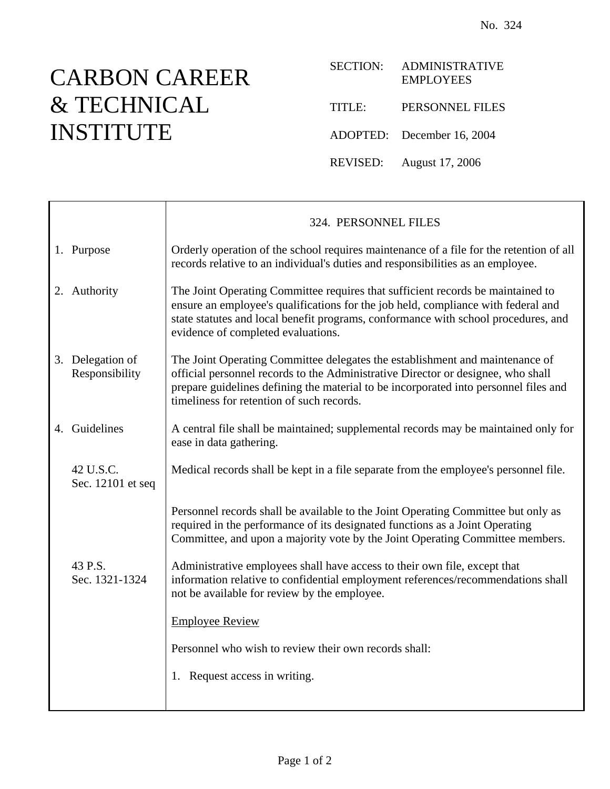## CARBON CAREER & TECHNICAL INSTITUTE

| <b>SECTION:</b> | <b>ADMINISTRATIVE</b><br><b>EMPLOYEES</b> |
|-----------------|-------------------------------------------|
| TITLE:          | PERSONNEL FILES                           |
|                 | ADOPTED: December 16, 2004                |
| REVISED:        | August 17, 2006                           |

|                                    | 324. PERSONNEL FILES                                                                                                                                                                                                                                                                                  |
|------------------------------------|-------------------------------------------------------------------------------------------------------------------------------------------------------------------------------------------------------------------------------------------------------------------------------------------------------|
| 1. Purpose                         | Orderly operation of the school requires maintenance of a file for the retention of all<br>records relative to an individual's duties and responsibilities as an employee.                                                                                                                            |
| 2. Authority                       | The Joint Operating Committee requires that sufficient records be maintained to<br>ensure an employee's qualifications for the job held, compliance with federal and<br>state statutes and local benefit programs, conformance with school procedures, and<br>evidence of completed evaluations.      |
| 3. Delegation of<br>Responsibility | The Joint Operating Committee delegates the establishment and maintenance of<br>official personnel records to the Administrative Director or designee, who shall<br>prepare guidelines defining the material to be incorporated into personnel files and<br>timeliness for retention of such records. |
| 4. Guidelines                      | A central file shall be maintained; supplemental records may be maintained only for<br>ease in data gathering.                                                                                                                                                                                        |
| 42 U.S.C.<br>Sec. 12101 et seq     | Medical records shall be kept in a file separate from the employee's personnel file.                                                                                                                                                                                                                  |
|                                    | Personnel records shall be available to the Joint Operating Committee but only as<br>required in the performance of its designated functions as a Joint Operating<br>Committee, and upon a majority vote by the Joint Operating Committee members.                                                    |
| 43 P.S.<br>Sec. 1321-1324          | Administrative employees shall have access to their own file, except that<br>information relative to confidential employment references/recommendations shall<br>not be available for review by the employee.                                                                                         |
|                                    | <b>Employee Review</b>                                                                                                                                                                                                                                                                                |
|                                    | Personnel who wish to review their own records shall:                                                                                                                                                                                                                                                 |
|                                    | 1. Request access in writing.                                                                                                                                                                                                                                                                         |
|                                    |                                                                                                                                                                                                                                                                                                       |